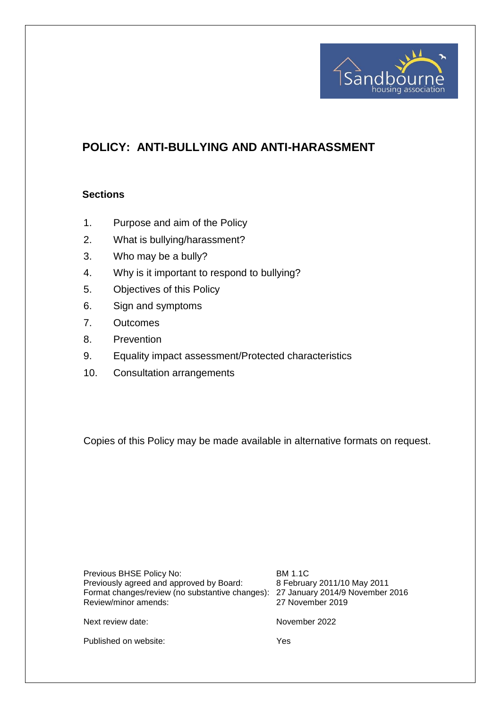

# **POLICY: ANTI-BULLYING AND ANTI-HARASSMENT**

#### **Sections**

- 1. Purpose and aim of the Policy
- 2. What is bullying/harassment?
- 3. Who may be a bully?
- 4. Why is it important to respond to bullying?
- 5. Objectives of this Policy
- 6. Sign and symptoms
- 7. Outcomes
- 8. Prevention
- 9. Equality impact assessment/Protected characteristics
- 10. Consultation arrangements

Copies of this Policy may be made available in alternative formats on request.

| Previous BHSE Policy No:<br>Previously agreed and approved by Board:<br>Format changes/review (no substantive changes): 27 January 2014/9 November 2016<br>Review/minor amends: | <b>BM 1.1C</b><br>8 February 2011/10 May 2011<br>27 November 2019 |
|---------------------------------------------------------------------------------------------------------------------------------------------------------------------------------|-------------------------------------------------------------------|
| Next review date:                                                                                                                                                               | November 2022                                                     |

Published on website: Yes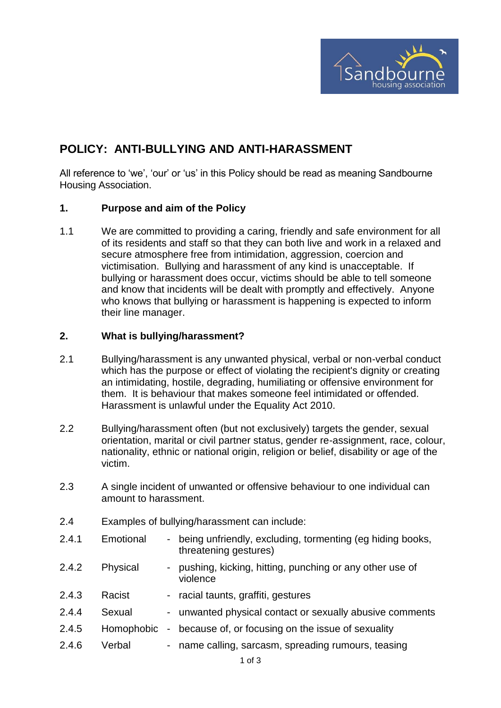

## **POLICY: ANTI-BULLYING AND ANTI-HARASSMENT**

All reference to 'we', 'our' or 'us' in this Policy should be read as meaning Sandbourne Housing Association.

#### **1. Purpose and aim of the Policy**

1.1 We are committed to providing a caring, friendly and safe environment for all of its residents and staff so that they can both live and work in a relaxed and secure atmosphere free from intimidation, aggression, coercion and victimisation. Bullying and harassment of any kind is unacceptable. If bullying or harassment does occur, victims should be able to tell someone and know that incidents will be dealt with promptly and effectively. Anyone who knows that bullying or harassment is happening is expected to inform their line manager.

#### **2. What is bullying/harassment?**

- 2.1 Bullying/harassment is any unwanted physical, verbal or non-verbal conduct which has the purpose or effect of violating the recipient's dignity or creating an intimidating, hostile, degrading, humiliating or offensive environment for them. It is behaviour that makes someone feel intimidated or offended. Harassment is unlawful under the Equality Act 2010.
- 2.2 Bullying/harassment often (but not exclusively) targets the gender, sexual orientation, marital or civil partner status, gender re-assignment, race, colour, nationality, ethnic or national origin, religion or belief, disability or age of the victim.
- 2.3 A single incident of unwanted or offensive behaviour to one individual can amount to harassment.
- 2.4 Examples of bullying/harassment can include:
- 2.4.1 Emotional being unfriendly, excluding, tormenting (eg hiding books, threatening gestures)
- 2.4.2 Physical pushing, kicking, hitting, punching or any other use of violence
- 2.4.3 Racist racial taunts, graffiti, gestures
- 2.4.4 Sexual unwanted physical contact or sexually abusive comments
- 2.4.5 Homophobic because of, or focusing on the issue of sexuality
- 2.4.6 Verbal name calling, sarcasm, spreading rumours, teasing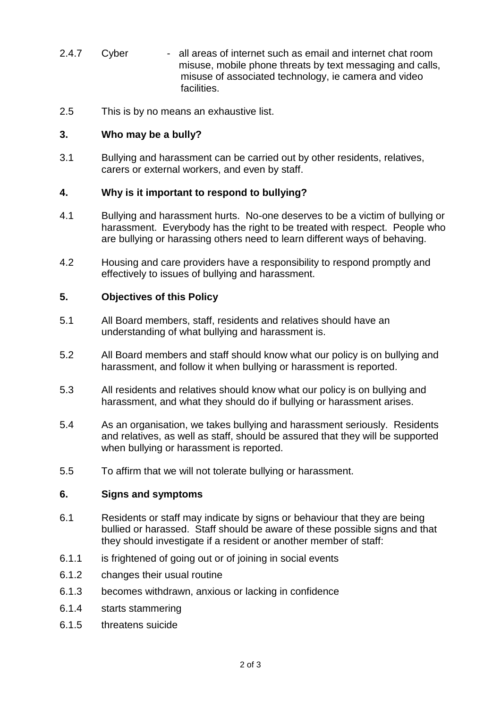- 2.4.7 Cyber all areas of internet such as email and internet chat room misuse, mobile phone threats by text messaging and calls, misuse of associated technology, ie camera and video facilities.
- 2.5 This is by no means an exhaustive list.

### **3. Who may be a bully?**

3.1 Bullying and harassment can be carried out by other residents, relatives, carers or external workers, and even by staff.

#### **4. Why is it important to respond to bullying?**

- 4.1 Bullying and harassment hurts. No-one deserves to be a victim of bullying or harassment. Everybody has the right to be treated with respect. People who are bullying or harassing others need to learn different ways of behaving.
- 4.2 Housing and care providers have a responsibility to respond promptly and effectively to issues of bullying and harassment.

#### **5. Objectives of this Policy**

- 5.1 All Board members, staff, residents and relatives should have an understanding of what bullying and harassment is.
- 5.2 All Board members and staff should know what our policy is on bullying and harassment, and follow it when bullying or harassment is reported.
- 5.3 All residents and relatives should know what our policy is on bullying and harassment, and what they should do if bullying or harassment arises.
- 5.4 As an organisation, we takes bullying and harassment seriously. Residents and relatives, as well as staff, should be assured that they will be supported when bullying or harassment is reported.
- 5.5 To affirm that we will not tolerate bullying or harassment.

#### **6. Signs and symptoms**

- 6.1 Residents or staff may indicate by signs or behaviour that they are being bullied or harassed. Staff should be aware of these possible signs and that they should investigate if a resident or another member of staff:
- 6.1.1 is frightened of going out or of joining in social events
- 6.1.2 changes their usual routine
- 6.1.3 becomes withdrawn, anxious or lacking in confidence
- 6.1.4 starts stammering
- 6.1.5 threatens suicide